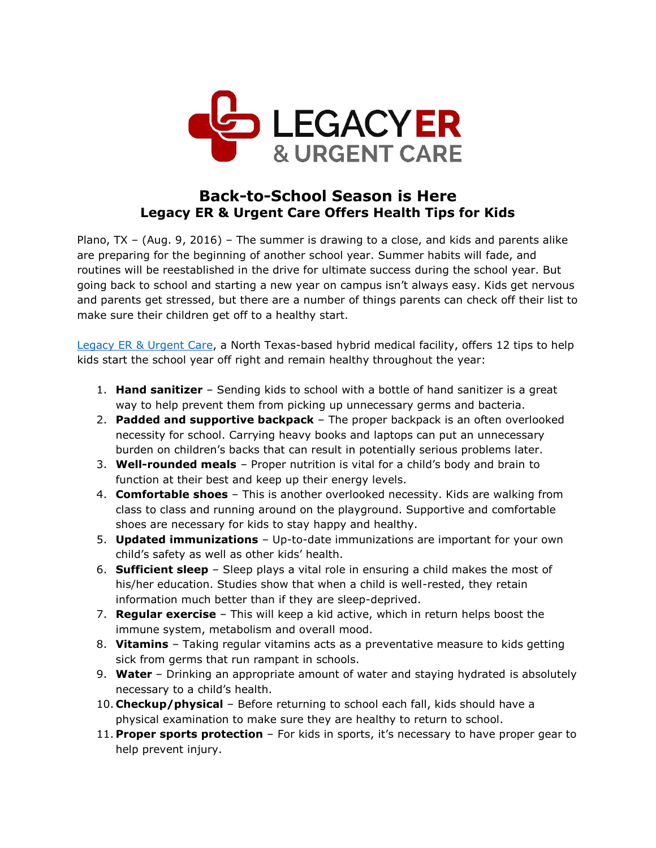

## **Back-to-School Season is Here Legacy ER & Urgent Care Offers Health Tips for Kids**

Plano, TX – (Aug. 9, 2016) – The summer is drawing to a close, and kids and parents alike are preparing for the beginning of another school year. Summer habits will fade, and routines will be reestablished in the drive for ultimate success during the school year. But going back to school and starting a new year on campus isn't always easy. Kids get nervous and parents get stressed, but there are a number of things parents can check off their list to make sure their children get off to a healthy start.

[Legacy ER & Urgent Care,](http://www.legacyer.com/) a North Texas-based hybrid medical facility, offers 12 tips to help kids start the school year off right and remain healthy throughout the year:

- 1. **Hand sanitizer** Sending kids to school with a bottle of hand sanitizer is a great way to help prevent them from picking up unnecessary germs and bacteria.
- 2. **Padded and supportive backpack** The proper backpack is an often overlooked necessity for school. Carrying heavy books and laptops can put an unnecessary burden on children's backs that can result in potentially serious problems later.
- 3. **Well-rounded meals** Proper nutrition is vital for a child's body and brain to function at their best and keep up their energy levels.
- 4. **Comfortable shoes** This is another overlooked necessity. Kids are walking from class to class and running around on the playground. Supportive and comfortable shoes are necessary for kids to stay happy and healthy.
- 5. **Updated immunizations** Up-to-date immunizations are important for your own child's safety as well as other kids' health.
- 6. **Sufficient sleep** Sleep plays a vital role in ensuring a child makes the most of his/her education. Studies show that when a child is well-rested, they retain information much better than if they are sleep-deprived.
- 7. **Regular exercise** This will keep a kid active, which in return helps boost the immune system, metabolism and overall mood.
- 8. **Vitamins** Taking regular vitamins acts as a preventative measure to kids getting sick from germs that run rampant in schools.
- 9. **Water**  Drinking an appropriate amount of water and staying hydrated is absolutely necessary to a child's health.
- 10. **Checkup/physical** Before returning to school each fall, kids should have a physical examination to make sure they are healthy to return to school.
- 11. **Proper sports protection** For kids in sports, it's necessary to have proper gear to help prevent injury.